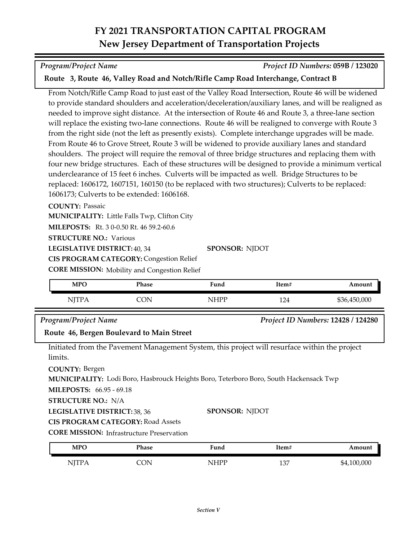### *Program/Project Name Project ID Numbers:* **059B / 123020**

## **Route 3, Route 46, Valley Road and Notch/Rifle Camp Road Interchange, Contract B**

From Notch/Rifle Camp Road to just east of the Valley Road Intersection, Route 46 will be widened to provide standard shoulders and acceleration/deceleration/auxiliary lanes, and will be realigned as needed to improve sight distance. At the intersection of Route 46 and Route 3, a three-lane section will replace the existing two-lane connections. Route 46 will be realigned to converge with Route 3 from the right side (not the left as presently exists). Complete interchange upgrades will be made. From Route 46 to Grove Street, Route 3 will be widened to provide auxiliary lanes and standard shoulders. The project will require the removal of three bridge structures and replacing them with four new bridge structures. Each of these structures will be designed to provide a minimum vertical underclearance of 15 feet 6 inches. Culverts will be impacted as well. Bridge Structures to be replaced: 1606172, 1607151, 160150 (to be replaced with two structures); Culverts to be replaced: 1606173; Culverts to be extended: 1606168.

### **COUNTY:** Passaic

**MUNICIPALITY:** Little Falls Twp, Clifton City

**MILEPOSTS:** Rt. 3 0-0.50 Rt. 46 59.2-60.6

**STRUCTURE NO.: Various** 

**LEGISLATIVE DISTRICT:** 40, 34

**CIS PROGRAM CATEGORY: Congestion Relief** 

**CORE MISSION:** Mobility and Congestion Relief

| <b>MPO</b>   | Phase | Fund | Item# | Amount       |
|--------------|-------|------|-------|--------------|
| <b>TT 17</b> |       | IHPP | 124   | \$36,450,000 |

**SPONSOR:** NJDOT

### *Program/Project Name Project ID Numbers:* **12428 / 124280**

**Route 46, Bergen Boulevard to Main Street**

Initiated from the Pavement Management System, this project will resurface within the project limits.

**COUNTY:** Bergen

**MUNICIPALITY:** Lodi Boro, Hasbrouck Heights Boro, Teterboro Boro, South Hackensack Twp

**MILEPOSTS:** 66.95 - 69.18

**STRUCTURE NO.:** N/A

**LEGISLATIVE DISTRICT:** 38, 36

**SPONSOR:** NJDOT

**CIS PROGRAM CATEGORY:** Road Assets

| <b>CORE MISSION: Infrastructure Preservation</b> |
|--------------------------------------------------|
|                                                  |

| <b>MPC</b>                        | Phase   | $F$ und | ltem# | Amount      |
|-----------------------------------|---------|---------|-------|-------------|
| NITP <sub>f</sub><br><b>TT 17</b> | ΩN<br>◡ | NHPP    | 137   | \$4,100,000 |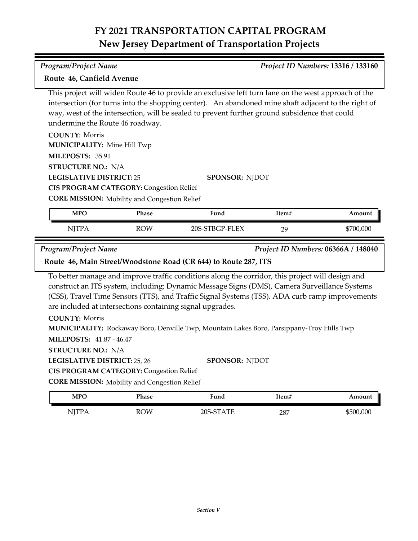### *Program/Project Name Project ID Numbers:* **13316 / 133160**

### **Route 46, Canfield Avenue**

This project will widen Route 46 to provide an exclusive left turn lane on the west approach of the intersection (for turns into the shopping center). An abandoned mine shaft adjacent to the right of way, west of the intersection, will be sealed to prevent further ground subsidence that could undermine the Route 46 roadway.

| <b>COUNTY: Morris</b>                               |                       |
|-----------------------------------------------------|-----------------------|
| <b>MUNICIPALITY: Mine Hill Twp</b>                  |                       |
| <b>MILEPOSTS: 35.91</b>                             |                       |
| <b>STRUCTURE NO.: N/A</b>                           |                       |
| <b>LEGISLATIVE DISTRICT:25</b>                      | <b>SPONSOR: NIDOT</b> |
| <b>CIS PROGRAM CATEGORY: Congestion Relief</b>      |                       |
| <b>CORE MISSION:</b> Mobility and Congestion Relief |                       |

| <b>MPO</b>   | Phase      | Fund           | Item# | Amount    |
|--------------|------------|----------------|-------|-----------|
| <b>NJTPA</b> | <b>ROW</b> | 20S-STBGP-FLEX | 29    | \$700,000 |

*Program/Project Name Project ID Numbers:* **06366A / 148040**

### **Route 46, Main Street/Woodstone Road (CR 644) to Route 287, ITS**

To better manage and improve traffic conditions along the corridor, this project will design and construct an ITS system, including; Dynamic Message Signs (DMS), Camera Surveillance Systems (CSS), Travel Time Sensors (TTS), and Traffic Signal Systems (TSS). ADA curb ramp improvements are included at intersections containing signal upgrades.

**COUNTY:** Morris

**MUNICIPALITY:** Rockaway Boro, Denville Twp, Mountain Lakes Boro, Parsippany-Troy Hills Twp

**MILEPOSTS:** 41.87 - 46.47

**STRUCTURE NO.:** N/A

**LEGISLATIVE DISTRICT:** 25, 26

**SPONSOR:** NJDOT

**CIS PROGRAM CATEGORY: Congestion Relief** 

**CORE MISSION:** Mobility and Congestion Relief

| <b>MPO</b> | Phase | ™und      | ltem# | Amount    |
|------------|-------|-----------|-------|-----------|
| NITPA      | ROW   | 20S-STATE | 287   | \$500,000 |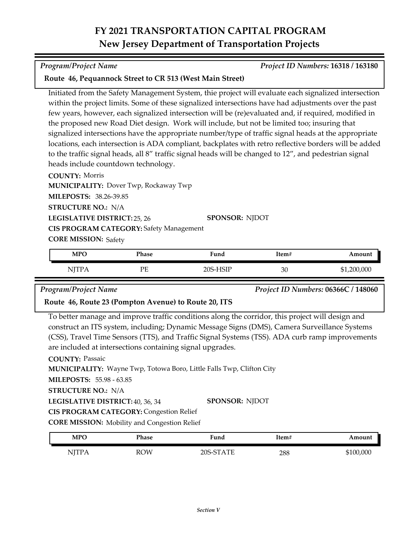### *Program/Project Name Project ID Numbers:* **16318 / 163180**

### **Route 46, Pequannock Street to CR 513 (West Main Street)**

Initiated from the Safety Management System, thie project will evaluate each signalized intersection within the project limits. Some of these signalized intersections have had adjustments over the past few years, however, each signalized intersection will be (re)evaluated and, if required, modified in the proposed new Road Diet design. Work will include, but not be limited too; insuring that signalized intersections have the appropriate number/type of traffic signal heads at the appropriate locations, each intersection is ADA compliant, backplates with retro reflective borders will be added to the traffic signal heads, all 8" traffic signal heads will be changed to 12", and pedestrian signal heads include countdown technology.

**COUNTY:** Morris **MILEPOSTS:** 38.26-39.85 **STRUCTURE NO.:** N/A **MUNICIPALITY: Dover Twp, Rockaway Twp** 

**LEGISLATIVE DISTRICT:** 25, 26

**CIS PROGRAM CATEGORY:** Safety Management

**CORE MISSION: Safety** 

| <b>MPO</b> | Phase | Fund               | Item# | Amount      |
|------------|-------|--------------------|-------|-------------|
| NITP.      | PE    | ·HSIP<br>$20S - F$ | 30    | \$1,200,000 |

**SPONSOR:** NJDOT

*Program/Project Name Project ID Numbers:* **06366C / 148060**

### **Route 46, Route 23 (Pompton Avenue) to Route 20, ITS**

To better manage and improve traffic conditions along the corridor, this project will design and construct an ITS system, including; Dynamic Message Signs (DMS), Camera Surveillance Systems (CSS), Travel Time Sensors (TTS), and Traffic Signal Systems (TSS). ADA curb ramp improvements are included at intersections containing signal upgrades.

### **COUNTY:** Passaic

**MUNICIPALITY:** Wayne Twp, Totowa Boro, Little Falls Twp, Clifton City

**MILEPOSTS:** 55.98 - 63.85

**STRUCTURE NO.:** N/A

**LEGISLATIVE DISTRICT:** 40, 36, 34 **SPONSOR:** NJDOT

**CIS PROGRAM CATEGORY: Congestion Relief** 

**CORE MISSION:** Mobility and Congestion Relief

| <b>MPO</b>                                  | Phase | Fund      | Item# | Amount    |
|---------------------------------------------|-------|-----------|-------|-----------|
| NITPA<br>$\mathbf{1} \mathbf{1} \mathbf{1}$ | ROW   | 20S-STATE | 288   | \$100,000 |